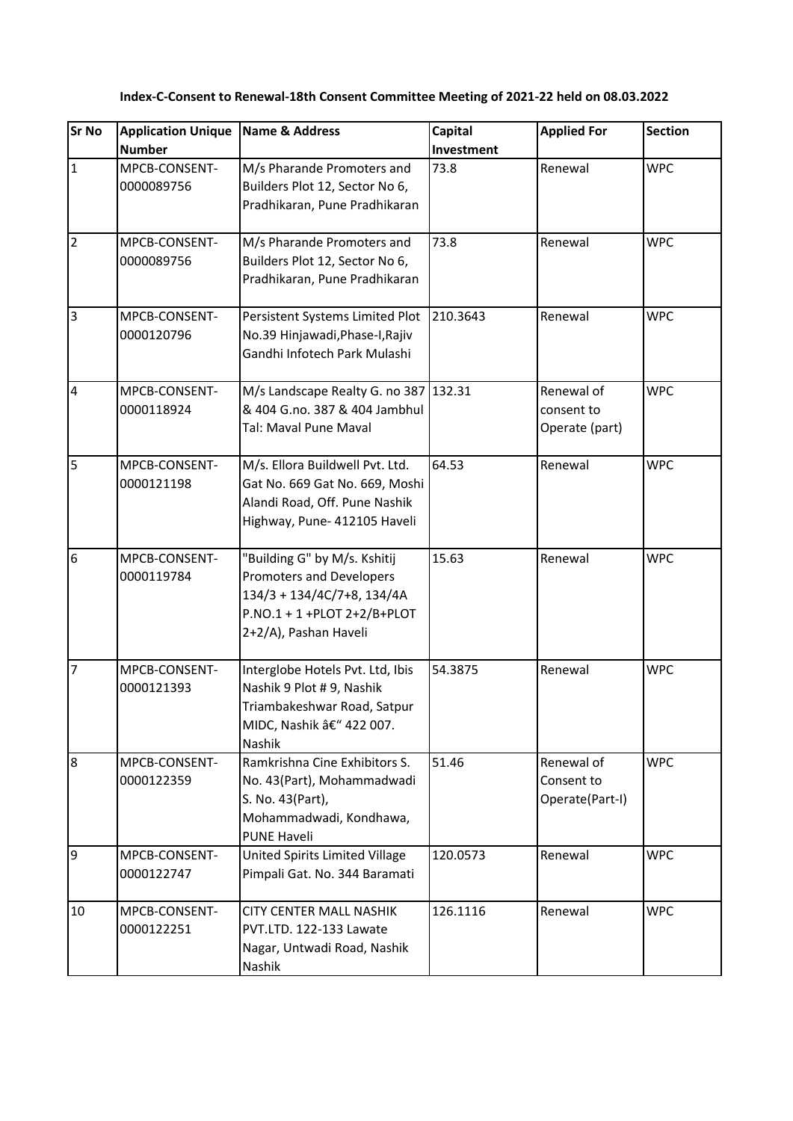| <b>Sr No</b>            | <b>Application Unique</b>   | Name & Address                                                                                                                                    | Capital    | <b>Applied For</b>                          | <b>Section</b> |
|-------------------------|-----------------------------|---------------------------------------------------------------------------------------------------------------------------------------------------|------------|---------------------------------------------|----------------|
|                         | <b>Number</b>               |                                                                                                                                                   | Investment |                                             |                |
| $\mathbf{1}$            | MPCB-CONSENT-<br>0000089756 | M/s Pharande Promoters and<br>Builders Plot 12, Sector No 6,<br>Pradhikaran, Pune Pradhikaran                                                     | 73.8       | Renewal                                     | <b>WPC</b>     |
| $\overline{2}$          | MPCB-CONSENT-<br>0000089756 | M/s Pharande Promoters and<br>Builders Plot 12, Sector No 6,<br>Pradhikaran, Pune Pradhikaran                                                     | 73.8       | Renewal                                     | <b>WPC</b>     |
| $\overline{3}$          | MPCB-CONSENT-<br>0000120796 | Persistent Systems Limited Plot<br>No.39 Hinjawadi, Phase-I, Rajiv<br>Gandhi Infotech Park Mulashi                                                | 210.3643   | Renewal                                     | <b>WPC</b>     |
| $\overline{\mathbf{4}}$ | MPCB-CONSENT-<br>0000118924 | M/s Landscape Realty G. no 387 132.31<br>& 404 G.no. 387 & 404 Jambhul<br>Tal: Maval Pune Maval                                                   |            | Renewal of<br>consent to<br>Operate (part)  | <b>WPC</b>     |
| $\overline{5}$          | MPCB-CONSENT-<br>0000121198 | M/s. Ellora Buildwell Pvt. Ltd.<br>Gat No. 669 Gat No. 669, Moshi<br>Alandi Road, Off. Pune Nashik<br>Highway, Pune- 412105 Haveli                | 64.53      | Renewal                                     | <b>WPC</b>     |
| $6\phantom{.}6$         | MPCB-CONSENT-<br>0000119784 | "Building G" by M/s. Kshitij<br>Promoters and Developers<br>134/3 + 134/4C/7+8, 134/4A<br>$P.NO.1 + 1 + PLOT 2+2/B+PLOT$<br>2+2/A), Pashan Haveli | 15.63      | Renewal                                     | <b>WPC</b>     |
| $\overline{7}$          | MPCB-CONSENT-<br>0000121393 | Interglobe Hotels Pvt. Ltd, Ibis<br>Nashik 9 Plot # 9, Nashik<br>Triambakeshwar Road, Satpur<br>MIDC, Nashik – 422 007.<br><b>Nashik</b>          | 54.3875    | Renewal                                     | <b>WPC</b>     |
| 8                       | MPCB-CONSENT-<br>0000122359 | Ramkrishna Cine Exhibitors S.<br>No. 43(Part), Mohammadwadi<br>S. No. 43(Part),<br>Mohammadwadi, Kondhawa,<br><b>PUNE Haveli</b>                  | 51.46      | Renewal of<br>Consent to<br>Operate(Part-I) | <b>WPC</b>     |
| $\overline{9}$          | MPCB-CONSENT-<br>0000122747 | United Spirits Limited Village<br>Pimpali Gat. No. 344 Baramati                                                                                   | 120.0573   | Renewal                                     | <b>WPC</b>     |
| 10                      | MPCB-CONSENT-<br>0000122251 | <b>CITY CENTER MALL NASHIK</b><br>PVT.LTD. 122-133 Lawate<br>Nagar, Untwadi Road, Nashik<br>Nashik                                                | 126.1116   | Renewal                                     | <b>WPC</b>     |